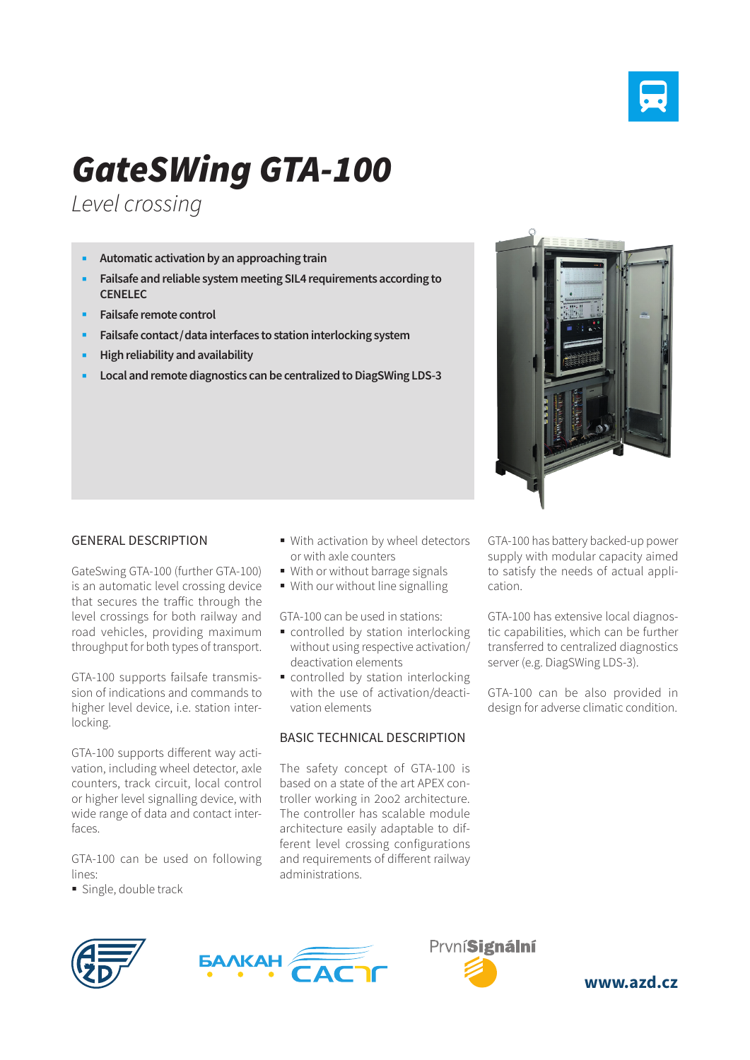

## *GateSWing GTA-100*

*Level crossing*

- **Automatic activation by an approaching train**
- **Failsafe and reliable system meeting SIL4 requirements according to CENELEC**
- **Failsafe remote control**
- **Failsafe contact/data interfaces to station interlocking system**
- **High reliability and availability**
- **Local and remote diagnostics can be centralized to DiagSWing LDS-3**



## GENERAL DESCRIPTION

GateSwing GTA-100 (further GTA-100) is an automatic level crossing device that secures the traffic through the level crossings for both railway and road vehicles, providing maximum throughput for both types of transport.

GTA-100 supports failsafe transmission of indications and commands to higher level device, i.e. station interlocking.

GTA-100 supports different way activation, including wheel detector, axle counters, track circuit, local control or higher level signalling device, with wide range of data and contact interfaces.

GTA-100 can be used on following lines:

**Single, double track** 

- With activation by wheel detectors or with axle counters
- With or without barrage signals
- With our without line signalling

GTA-100 can be used in stations:

- controlled by station interlocking without using respective activation/ deactivation elements
- **CONTITY** controlled by station interlocking with the use of activation/deactivation elements

## BASIC TECHNICAL DESCRIPTION

The safety concept of GTA-100 is based on a state of the art APEX controller working in 2oo2 architecture. The controller has scalable module architecture easily adaptable to different level crossing configurations and requirements of different railway administrations.

GTA-100 has battery backed-up power supply with modular capacity aimed to satisfy the needs of actual application.

GTA-100 has extensive local diagnostic capabilities, which can be further transferred to centralized diagnostics server (e.g. DiagSWing LDS-3).

GTA-100 can be also provided in design for adverse climatic condition.







**www.azd.cz**